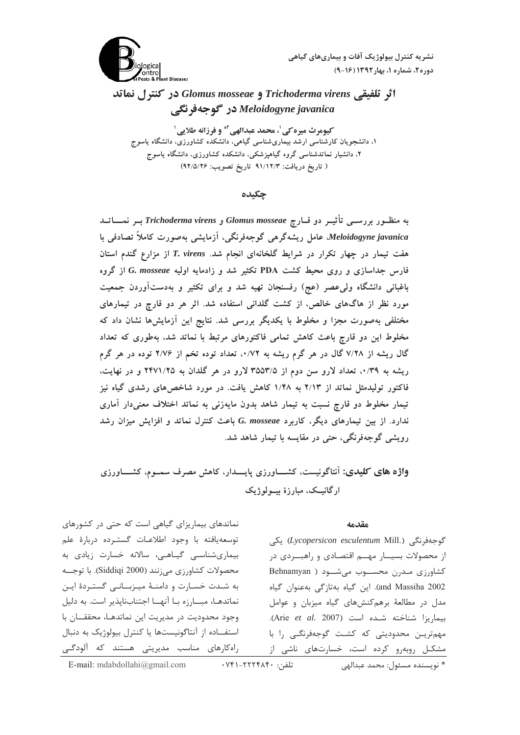نشریه کنترل بیولوژیک آفات و بیماریهای گیاهی دوره ٢، شماره ١، بهار١٣٩٢ (١۶-٩)



اثر تلفيقي Trichoderma virens و Glomus mosseae در كنترل نماتد Meloidogyne javanica در گوجهفرنگي

كيومرث ميره كي'، محمد عبدالهي آ\* و فرزانه طلايي' ۱، دانشجویان کارشناسی ارشد بیماریشناسی گیاهی، دانشکده کشاورزی، دانشگاه یاسوج ۲، دانشیار نماتدشناسی گروه گیاهپزشکی، دانشکده کشاورزی، دانشگاه یاسوج ( تاريخ دريافت: ٩١/١٢/٣ تاريخ تصويب: ٩٢/٥/٢۶)

## چکیده

به منظـور بررســی تأثیــر دو قــارچ Glomus mosseae و Trichoderma virens بــر نمــــاتــد Meloidogyne javanica۔ عامل ریشهگرهی گوجهفرنگی، آزمایشی بهصورت کاملاً تصادفی با هفت تیمار در چهار تکرار در شرایط گلخانهای انجام شد. T. virens از مزارع گندم استان فارس جداسازی و روی محیط کشت PDA تکثیر شد و زادمایه اولیه G. mosseae از گروه باغبانی دانشگاه ولی عصر (عج) رفسنجان تهیه شد و برای تکثیر و بهدستآوردن جمعیت مورد نظر از هاگهای خالص، از کشت گلدانی استفاده شد. اثر هر دو قارچ در تیمارهای مختلفی بهصورت مجزا و مخلوط با یکدیگر بررسی شد. نتایج این آزمایشها نشان داد که مخلوط این دو قارچ باعث کاهش تمامی فاکتورهای مرتبط با نماتد شد، بهطوری که تعداد گال ریشه از ۷/۲۸ گال در هر گرم ریشه به ۰/۷۲، تعداد توده تخم از ۲/۷۶ توده در هر گرم ریشه به ۰/۳۹، تعداد لارو سن دوم از ۳۵۵۳/۵ لارو در هر گلدان به ۲۴۷۱/۲۵ و در نهایت، فاکتور تولیدمثل نماتد از ۲/۱۳ به ۱/۴۸ کاهش یافت. در مورد شاخصهای رشدی گیاه نیز تیمار مخلوط دو قارچ نسبت به تیمار شاهد بدون مایهزنی به نماتد اختلاف معنیدار آماری ندارد. از بین تیمارهای دیگر، کاربرد G. mosseae باعث کنترل نماتد و افزایش میزان رشد رویشی گوجهفرنگی، حتی در مقایسه با تیمار شاهد شد.

واژه های کلیدی: آنتاگونیست، کشـــاورزی پایـــدار، کاهش مصرف سمــوم، کشــــاورزی ارگانيــک، مبارزهٔ بيـــولوژيک

#### مقدمه

گوجەڧرنگى (Lycopersicon esculentum Mill.) ىكى از محصولات بسیـــار مهـــم اقتصــادی و راهبـــردی در کشاورزی مدرن محسوب می شود ( Behnamyan and Massiha 2002). این گیاه بهتازگی بهعنوان گیاه مدل در مطالعهٔ برهم کنشهای گیاه میزبان و عوامل بيماريزا شناخته شده است (Arie et al. 2007). مهمترین محدودیتی که کشت گوجهفرنگی را با مشکل روبهرو کرده است، خسارتهای ناشی از

نماتدهای بیماریزای گیاهی است که حتی در کشورهای توسعه يافته با وجود اطلاعات گسترده دربارة علم بیماریشناسی گیاهی، سالانه خسارت زیادی به محصولات كشاورزي مي زنند (Siddiqi 2000). با توجــه به شدت خسارت و دامنـهٔ میـزبــانـی گستـردهٔ ایـن نماتدهـا، مبـــارزه بـا آنهــا اجتنابناپذير است. به دليل وجود محدوديت در مديريت اين نماتدهـا، محققـان با استفــاده از آنتاگونیستها یا کنترل بیولوژیک به دنبال راهکارهای مناسب مدیریتی هستند که آلودگـی

\* نويسنده مسئول: محمد عبدالهي

E-mail: mdabdollahi@gmail.com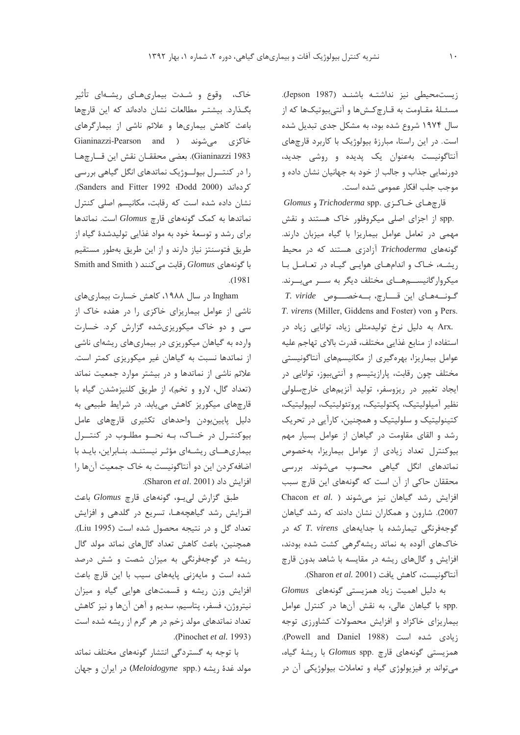زيستمحيطي نيز نداشتـه باشنـد (Jepson 1987). مسئـلهٔ مقـاومت به قـارچ كـشها و آنتىبيوتيكها كه از سال ۱۹۷۴ شروع شده بود، به مشکل جدی تبدیل شده است. در این راستا، مبارزهٔ بیولوژیک با کاربرد قارچهای آنتاگونیست بهعنوان یک پدیده و روشی جدید، دورنمایی جذاب و جالب از خود به جهانیان نشان داده و موجب جلب افکار عمومی شده است.

قارچهای خـاکـزی .*Trichoderma* spp و Glomus .spp از اجزای اصلی میکروفلور خاک هستند و نقش مهمی در تعامل عوامل بیماریزا با گیاه میزبان دارند. گونههای Trichoderma آزادزی هستند که در محیط ریشه، خاک و اندامهای هوایی گیاه در تعامل با میکروار گانیســـمهـــای مختلف دیگر به ســـر میبـــرند. گـونـــههـای این قــــارچ، بـــهخصــــوص T. viride T. virens (Miller, Giddens and Foster) von , Pers. .Arx به دلیل نرخ تولیدمثلی زیاد، توانایی زیاد در استفاده از منابع غذايي مختلف، قدرت بالاي تهاجم عليه عوامل بیماریزا، بهرهگیری از مکانیسمهای آنتاگونیستی مختلف چون رقابت، پارازیتیسم و آنتیبیوز، توانایی در ایجاد تغییر در ریزوسفر، تولید آنزیمهای خارجسلولی نظير آميلوليتيك، پكتوليتيك، پروتئوليتيك، ليپوليتيك، کتینولیتیک و سلولیتیک و همچنین، کارآیی در تحریک رشد و القای مقاومت در گیاهان از عوامل بسیار مهم بیوکنترل تعداد زیادی از عوامل بیماریزا، بهخصوص نماتدهای انگل گیاهی محسوب میشوند. بررسی محققان حاکی از آن است که گونههای این قارچ سبب Chacon et al. ) افزایش رشد گیاهان نیز میشوند 2007). شارون و همکاران نشان دادند که رشد گیاهان گوجهفرنگی تیمارشده با جدایههای T. virens که در خاکهای آلوده به نماتد ریشهگرهی کشت شده بودند، افزایش و گالهای ریشه در مقایسه با شاهد بدون قارچ آنتاگونیست، كاهش یافت (Sharon et al. 2001).

به دلیل اهمیت زیاد همزیستی گونههای Glomus .spp با گیاهان عالی، به نقش آنها در کنترل عوامل بیماریزای خاکزاد و افزایش محصولات کشاورزی توجه زيادي شده است (Powell and Daniel 1988). همزیستی گونههای قارچ .Glomus spp با ریشهٔ گیاه، مي تواند بر فيزيولوژي گياه و تعاملات بيولوژيكي آن در

خاک، وقوع و شـدت بیماریهـای ریشـهای تأثیر بگـذارد. بیشتـر مطالعات نشان دادهاند که این قارچها باعث کاهش بیماریها و علائم ناشی از بیمارگرهای خاكزى مى شوند ( Gianinazzi-Pearson and Gianinazzi 1983). بعضي محققـان نقش اين قـارچهـا را در کنتــرل بیولــوژیک نماتدهای انگل گیاهی بررسی کردهاند (Sanders and Fitter 1992 :Dodd 2000). نشان داده شده است که رقابت، مکانیسم اصلی کنترل نماتدها به کمک گونههای قارچ Glomus است. نماتدها برای رشد و توسعهٔ خود به مواد غذایی تولیدشدهٔ گیاه از طریق فتوسنتز نیاز دارند و از این طریق بهطور مستقیم با گونههای Glomus رقابت می کنند ( Smith and Smith  $. (1981)$ 

Ingham در سال ۱۹۸۸، کاهش خسارت بیماریهای ناشی از عوامل بیماریزای خاکزی را در هفده خاک از سی و دو خاک میکوریزیشده گزارش کرد. خسارت وارده به گیاهان میکوریزی در بیماریهای ریشهای ناشی از نماتدها نسبت به گیاهان غیر میکوریزی کمتر است. علائم ناشی از نماتدها و در بیشتر موارد جمعیت نماتد (تعداد گال، لارو و تخم)، از طريق كلنيزهشدن گياه با قارچهای میکوریز کاهش مییابد. در شرایط طبیعی به دلیل پایینبودن واحدهای تکثیری قارچهای عامل بيوكنتـرل در خــاک، بـه نحــو مطلـوب در كنتــرل بیماری های ریشهای مؤثر نیستند. بنابراین، باید با اضافه کردن این دو آنتاگونیست به خاک جمعیت آنها را افزايش داد (Sharon et al. 2001).

طبق گزارش لی یو، گونههای قارچ Glomus باعث افزایش رشد گیاهچهها، تسریع در گلدهی و افزایش تعداد گل و در نتیجه محصول شده است (Liu 1995). همچنین، باعث کاهش تعداد گالهای نماتد مولد گال ریشه در گوجهفرنگی به میزان شصت و شش درصد شده است و مایهزنی پایههای سیب با این قارچ باعث افزایش وزن ریشه و قسمتهای هوایی گیاه و میزان نيتروژن، فسفر، يتاسيم، سديم و آهن آنها و نيز كاهش تعداد نماتدهای مولد زخم در هر گرم از ریشه شده است .(Pinochet et al. 1993).

با توجه به گستردگی انتشار گونههای مختلف نماتد مولد غدۀ ريشه (Meloidogyne spp.) در ايران و جهان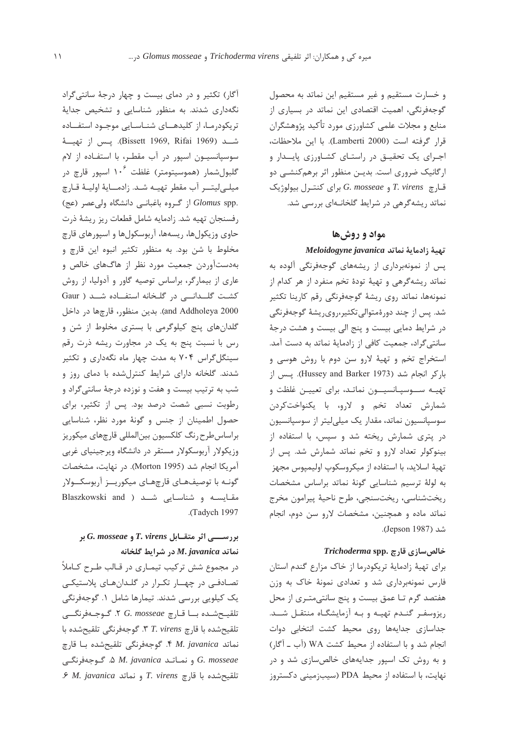و خسارت مستقیم و غیر مستقیم این نماتد به محصول گوجهفرنگی، اهمیت اقتصادی این نماتد در بسیاری از منابع و مجلات علمی کشاورزی مورد تأکید پژوهشگران قرار گرفته است (Lamberti 2000). با این ملاحظات، اجرای یک تحقیـق در راستـای کشـاورزی پایــدار و ارگانیک ضروری است. بدیـن منظور اثر برهمکنشـی دو  $G.$  *mosseae* و G. mosseae براي كنتيرل بيولوژيک نماتد ریشهگرهی در شرایط گلخانهای بررسی شد.

# مواد و روشها

## تهية زادماية نماتد Meloidogyne javanica

یس از نمونهبرداری از ریشههای گوجهفرنگی آلوده به نماتد ریشهگرهی و تهیهٔ تودهٔ تخم منفرد از هر کدام از نمونهها، نماتد روى ريشة گوجهفرنگى رقم كارينا تكثير شد. پس از چند دورۂمتوالی تکثیر،روی٫یشهٔ گوجهفرنگی در شرایط دمایی بیست و پنج الی بیست و هشت درجهٔ سانتیگراد، جمعیت کافی از زادمایهٔ نماتد به دست آمد. استخراج تخم و تهيهٔ لارو سن دوم با روش هوسی و باركر انجام شد (Hussey and Barker 1973). يس از تهیـه ســوسیـانسیــون نماتـد، برای تعییـن غلظت و شمارش تعداد تخم و لارو، با يكنواختكردن سوسپانسیون نماتد، مقدار یک میلیلیتر از سوسپانسیون در پتری شمارش ریخته شد و سپس، با استفاده از بینوکولر تعداد لارو و تخم نماتد شمارش شد. پس از تهيهٔ اسلايد، با استفاده از ميكروسكوپ اوليمپوس مجهز به لولهٔ ترسیم شناسایی گونهٔ نماتد براساس مشخصات ريختشناسي، ريختسنجي، طرح ناحيهٔ پيرامون مخرج نماتد ماده و همچنین، مشخصات لارو سن دوم، انجام شد (Jepson 1987).

### Trichoderma spp. خالص سازی قارچ

برای تهیهٔ زادمایهٔ تریکودرما از خاک مزارع گندم استان فارس نمونهبرداری شد و تعدادی نمونهٔ خاک به وزن هفتصد گرم تـا عمق بيست و پنج سانتى متـرى از محل ریزوسفر گندم تهیه و به آزمایشگاه منتقل شـد. جداسازی جدایهها روی محیط کشت انتخابی دوات انجام شد و با استفاده از محیط کشت WA (آب ـ آگار) و به روش تک اسپور جدایههای خالصسازی شد و در نهایت، با استفاده از محیط PDA (سیبزمینی دکستروز

آگار) تکثیر و در دمای بیست و چهار درجهٔ سانتی گراد نگهداری شدند. به منظور شناسایی و تشخیص جدایهٔ تریکودرمـا، از کلیدهــای شنـاسـایی موجـود استفــاده شــد (Bissett 1969, Rifai 1969). يـس از تهيـــهٔ سوسپانسیون اسپور در آب مقطر، با استفاده از لام گلبولشمار (هموسیتومتر) غلظت ۱۰<sup>۶</sup> اسیور قارچ در ميلے ليتــر آب مقطر تهيـه شـد. زادمــايهٔ اوليـهٔ قـارچ .Glomus spp از گروه باغبانی دانشگاه ولی عصر (عج) رفسنجان تهيه شد. زادمايه شامل قطعات ريز ريشهٔ ذرت حاوي وزيكولها، ريسهها، آربوسكولها و اسيورهاي قارچ مخلوط با شن بود. به منظور تكثير انبوه اين قارچ و بهدستآوردن جمعیت مورد نظر از هاگهای خالص و عاری از بیمارگر، براساس توصیه گاور و آدولیا، از روش کشت گلـدانـی در گلخانه استفـاده شـد ( Gaur and Addholeya 2000). بدين منظور، قارچها در داخل گلدانهای پنج کیلوگرمی با بستری مخلوط از شن و رس با نسبت پنج به یک در مجاورت ریشه ذرت رقم سینگل گراس ۷۰۴ به مدت چهار ماه نگهداری و تکثیر شدند. گلخانه دارای شرایط کنترلشده با دمای روز و شب به ترتیب بیست و هفت و نوزده درجهٔ سانتی گراد و رطوبت نسبی شصت درصد بود. پس از تکثیر، برای حصول اطمینان از جنس و گونهٔ مورد نظر، شناسایی براساس طرح رنگ كلكسيون بين|لمللي قارچهاي ميكوريز وزیکولار آربوسکولار مستقر در دانشگاه ویرجینیای غربی آمريكا انجام شد (Morton 1995). در نهايت، مشخصات گونـه با توصيفـهـاي قارچهـاي ميكوريــز آربوسكــولار مقایسه و شناسایی شـد ( Blaszkowski and .(Tadych 1997

# بررســـی اثر متقـابل T. virens و G. mosseae بر نماتد M.javanica در شرايط گلخانه

در مجموع شش ترکیب تیمـاری در قـالب طـرح کـاملاً تصادفی در چهار تکرار در گلدانهای پلاستیکی یک کیلویی بررسی شدند. تیمارها شامل ۱. گوجهفرنگی تلقيح شده با قارچ C. mosseae ٢. گوجـهفرنگــی تلقيحشده با قارچ T. virens 7. گوجهفرنگي تلقيحشده با نماتد M. javanica ۴. گوجهفرنگی تلقیحشده با قارچ G. mosseae و نماتد M. javanica و M. گوجهفرنگی .۶ M. javanica و نماتد P. virens ۶ M. javanica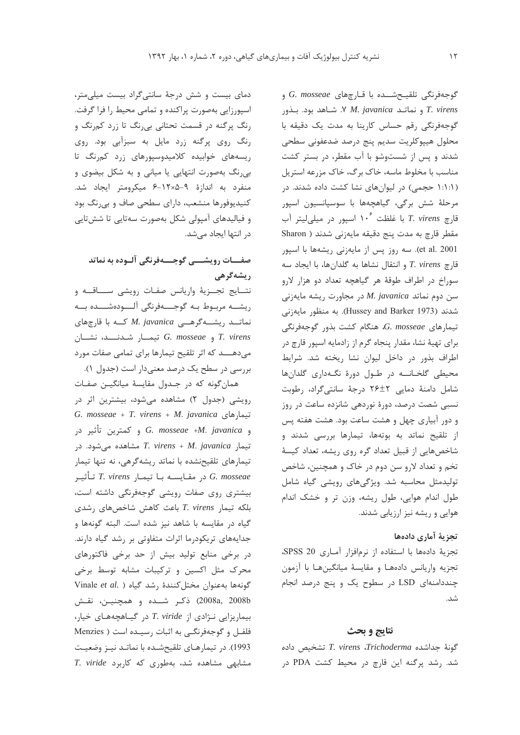دمای بیست و شش درجهٔ سانتی گراد بیست میلی متر، اسپورزایی بهصورت پراکنده و تمامی محیط را فرا گرفت. رنگ پرگنه در قسمت تحتانی بی رنگ تا زرد کمرنگ و رنگ روی پرگنه زرد مایل به سبزآبی بود. روی ریسههای خوابیده کلامیدوسپورهای زرد کمرنگ تا بی رنگ بهصورت انتهایی یا میانی و به شکل بیضوی و منفرد به اندازهٔ ۹-۱۲×۱۲-۶ میکرومتر ایجاد شد. کنیدیوفورها منشعب، دارای سطحی صاف و بی رنگ بود و فیالیدهای آمپولی شکل بهصورت سهتایی تا ششتایی در انتها ایجاد مے شد.

# صفــــات رويشـــــى گوجــــــهفرنگى آلـــوده به نماتد **ريشەگر**ھى

نتسايج تجسزيهٔ واريانس صفـات رويشي ســـاقــه و ريشــه مربـوط بـه گوجــــهفرنگى آلــــودهشــــده بـــه نماتــد ریشــهگرهــی M. javanica کــه با قارچهای T. virens و G. mosseae تيمـار شـدنـــد، نشـان میدهـــد که اثر تلقیح تیمارها برای تمامی صفات مورد بررسی در سطح یک درصد معنیدار است (جدول ۱).

همان گونه که در جـدول مقایسهٔ میانگیـن صفـات رویشی (جدول ۲) مشاهده میشود، بیشترین اثر در G. mosseae + T. virens + M. javanica تيمارهاي و كمترين تأثير در G. mosseae +M. javanica تیمار T. virens + M. javanica مشاهده میشود. در تیمارهای تلقیحنشده با نماتد ریشهگرهی، نه تنها تیمار در مقـايســه بـا تيمـار T. virens تـأثيـر C. mosseae بیشتری روی صفات رویشی گوجهفرنگی داشته است، بلكه تيمار T. virens باعث كاهش شاخص هاى رشدى گیاه در مقایسه با شاهد نیز شده است. البته گونهها و جدایههای تریکودرما اثرات متفاوتی بر رشد گیاه دارند. در برخی منابع تولید بیش از حد برخی فاکتورهای محرک مثل اکسین و ترکیبات مشابه توسط برخی Vinale et al. ) كونهها بهعنوان مختل كنندة رشد كياه 2008a, 2008b) ذكر شــده و همچنيـن، نقـش بیماریزایی نـژادی از T. viride در گیـاهچههای خیار، فلفل و گوجهفرنگی به اثبات رسیده است ( Menzies 1993). در تیمارهای تلقیحشده با نماتـد نیـز وضعیـت T. viride مشاهده شد، بهطوری که کاربرد 6. mosseae و G. mosseae و G. mosseae و r. virens و نماتـد Y M. javanica الشاهد بود. بـذور گوجهفرنگی رقم حساس كارينا به مدت يک دقيقه با محلول هييوكلريت سديم ينج درصد ضدعفوني سطحى شدند و پس از شستوشو با آب مقطر، در بستر کشت مناسب با مخلوط ماسه، خاک برگ، خاک مزرعه استریل (۱:۱:۱ حجمی) در لیوانهای نشا کشت داده شدند. در مرحلهٔ شش برگی، گیاهچهها با سوسپانسیون اسپور قارچ T. virens با غلظت ۱۰<sup>۶</sup> اسیور در میلی *ل*یتر آب مقطر قارچ به مدت پنج دقیقه مایه;نی شدند ( Sharon et al. 2001). سه روز پس از مايهزني ريشهها با اسپور قارچ T. virens و انتقال نشاها به گلدانها، با ایجاد سه سوراخ در اطراف طوقهٔ هر گیاهچه تعداد دو هزار لارو  $\mu$ در مجاورت ریشه مایهزنی M. javanica مر شدند (Hussey and Barker 1973). به منظور مايهزني  $G.$  mosseae تیمارهای G. mosseae تیمارهای برای تهیهٔ نشا، مقدار پنجاه گرم از زادمایه اسپور قارچ در اطراف بذور در داخل لیوان نشا ریخته شد. شرایط محیطی گلخانــه در طـول دورهٔ نگـهداری گلدانها شامل دامنهٔ دمایی ۲۶±۲ درجهٔ سانتی گراد، رطوبت نسبی شصت درصد، دورهٔ نوردهی شانزده ساعت در روز و دور آبیاری چهل و هشت ساعت بود. هشت هفته پس از تلقیح نماتد به بوتهها، تیمارها بررسی شدند و شاخصهایی از قبیل تعداد گره روی ریشه، تعداد کیسهٔ تخم و تعداد لارو سن دوم در خاک و همچنین، شاخص تولیدمثل محاسبه شد. ویژگی های رویشی گیاه شامل طول اندام هوایی، طول ریشه، وزن تر و خشک اندام هوایی و ریشه نیز ارزیابی شدند.

# تجزية آماري دادهها

تجزية دادهها با استفاده از نرمافزار آمـارى SPSS 20، تجزيه واريانس دادههـا و مقايسة ميانگينهـا با آزمون چنددامنهای LSD در سطوح یک و پنج درصد انجام شد.

### نتايج و بحث

T. virens .Trichoderma حداشده T. virens .Trichoderma شد. رشد پرگنه این قارچ در محیط کشت PDA در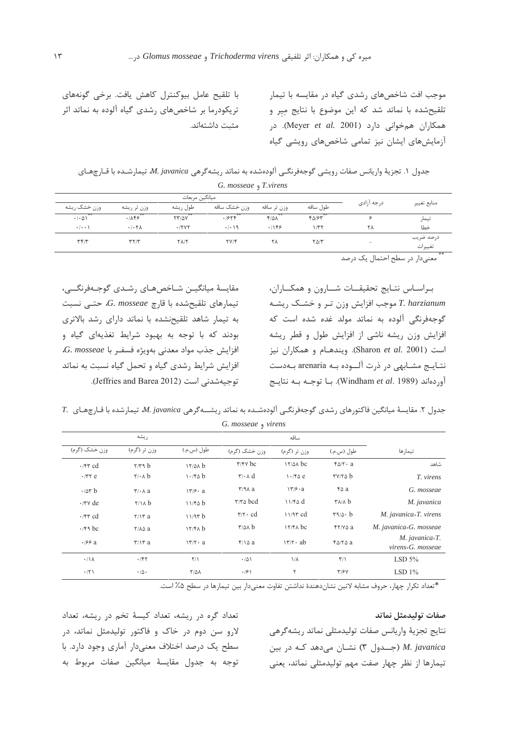موجب افت شاخصهای رشدی گیاه در مقایسه با تیمار تلقیحشده با نماتد شد که این موضوع با نتایج میر و همکاران همخوانی دارد (Meyer et al. 2001). در آزمایش های ایشان نیز تمامی شاخص های رویشی گیاه

با تلقیح عامل بیوکنترل کاهش یافت. برخی گونههای تریکودرما بر شاخصهای رشدی گیاه آلوده به نماتد اثر مثبت داشتهاند.

جدول ۱. تجزيهٔ واريانس صفات رويشي گوجهفرنگـي آلودهشده به نماتد ريشهگرهي M. javanica تيمارشـده با قـارچهـاي G. mosseae <sub>9</sub> T.virens

|                                     |                        | ميانگين مربعات |              |                   |             |                          | منابع تغيير          |  |
|-------------------------------------|------------------------|----------------|--------------|-------------------|-------------|--------------------------|----------------------|--|
| وزن خشک ریشه                        | وزن تر ریشه            | طول ريشه       | وزن خشک ساقه | وزن تر ساقه       | طول ساقه    | درجه آزادى               |                      |  |
| $\cdot$ / $\cdot$ $\wedge$ $\wedge$ | $\cdot$ $\overline{X}$ | <b>TTIOV</b>   | .7858        | $F/\Delta\Lambda$ | FQ/FY       |                          | تيمار                |  |
| $\cdot$ $\cdot$ $\cdot$             | .7.7A                  | .17YY          | .1.19        | .1189             | 1/TT        | ٢٨                       | خطا                  |  |
| Tf/T                                | $T\Upsilon/T$          | <b>TAIT</b>    | YV/F         | ۲۸                | $Y\Delta/Y$ | $\overline{\phantom{a}}$ | درصد ضريب<br>تغييرات |  |

\*\* معنىٰدار در سطح احتمال یک درصد

براساس نتايج تحقيقـات شـارون و همكـاران، T. harzianum موجب افزایش وزن تر و خشک ریشـه گوجهفرنگی آلوده به نماتد مولد غده شده است که افزایش وزن ریشه ناشی از افزایش طول و قطر ریشه است (Sharon et al. 2001). ويندهـام و همكاران نيز نتــايــج مشــابهي در ذرت آلـــوده بــه arenaria بــهدست آوردهاند (Windham et al. 1989). با توجـه بـه نتايـج

مقايسهٔ ميانگيــن شــاخصهــاي رشــدي گوجــهفرنگـــي، تیمارهای تلقیحشده با قارچ G. mosseae، حتى نسبت به تیمار شاهد تلقیحنشده با نماتد دارای رشد بالاتری بودند که با توجه به بهبود شرایط تغذیهای گیاه و  $G.$  mosseae افزايش جذب مواد معدني بهويژه فسفـر با افزایش شرایط رشدی گیاه و تحمل گیاه نسبت به نماتد توجيهشدني است (Jeffries and Barea 2012).

7. مقایسهٔ میانگین فاکتورهای رشدی گوجهفرنگی آلودهشده به نماتد ریشـهگرهی M. javanica تیمارشده با قـارچهـای G. mosseae 9 virens

|                        | ريشه                        |                     |                                             | ساقه           |                                                                  |                                                      |
|------------------------|-----------------------------|---------------------|---------------------------------------------|----------------|------------------------------------------------------------------|------------------------------------------------------|
| وزن خشک (گرم)          | وزن تر (گرم)                | طول (س.م.)          | وزن خشک (گرم)                               | وزن تر (گرم)   | طول (س.م.)                                                       | تيمارها                                              |
| $\cdot$ /۴۳ cd         | $\gamma/\gamma$ ۹ $b$       | 17/2A b             | $\tau$ / $\tau$ $\vee$ bc                   | $17/2A$ bc     | $f\Delta/\Upsilon$ a                                             | شاهد                                                 |
| $\cdot$ /۳۲ e          | $Y/\cdot \wedge b$          | 1.76b               | $\mathbf{r} \cdot \mathbf{A} \, \mathbf{d}$ | 1.76c          | $\mathbf{r}$ $\mathbf{v}$ $\mathbf{r}$ $\mathbf{o}$ $\mathbf{b}$ | T. virens                                            |
| $\cdot$ / $\Delta r$ b | $\mathbf{r}$ $\mathbf{A}$ a | $\frac{17}{6}$ a    | $\mathbf{r}/\mathbf{9}$ a                   | $17/9 \cdot a$ | ۴۵a                                                              | G. mosseae                                           |
| $\cdot$ /۳ $\vee$ de   | $Y/\lambda b$               | 11/40 b             | $\tau/\tau \Delta$ bcd                      | 11/40 d        | $\mathsf{r}_{\lambda/\lambda}$ b                                 | M. javanica                                          |
| $\cdot$ /۴۳ cd         | $Y/Y$ a                     | 11/97 b             | $\tau/\tau \cdot cd$                        | $11/97$ cd     | $r9/\Delta$ . b                                                  | M. javanica+T. virens                                |
| $\cdot$ /۴۹ bc         | $Y/\lambda \Delta a$        | 17/8A b             | $\frac{1}{2}$                               | $17/fA$ bc     | $YY/N \Delta a$                                                  | M. javanica+G. mosseae                               |
| $\cdot$ /99 a          | $\mathbf{r}/\mathbf{r}$ a   | $177 \cdot a$       | $f/\lambda a$                               | $177 \cdot ab$ | $f\Delta/\Upsilon\Delta$ a                                       | M. javanica+T.<br>$virens$ <sub>+</sub> $G.$ mosseae |
| $\cdot/\lambda$        | .741                        | $\Upsilon/\Upsilon$ | .701                                        | $1/\lambda$    | $\Upsilon/\Upsilon$                                              | LSD $5\%$                                            |
| $\cdot$ /٢١            | $\cdot/\Delta$ .            | $Y/\Delta\Lambda$   | $\cdot$ /۶۱                                 | ٢              | Y/5Y                                                             | LSD $1\%$                                            |

\*تعداد تكرار چهار، حروف مشابه لاتين نشاندهندهٔ نداشتن تفاوت معنىدار بين تيمارها در سطح ۵٪ است.

## صفات توليدمثل نماتد

نتايج تجزية واريانس صفات توليدمثلي نماتد ريشه گرهي M. javanica (جـدول ٣) نشـان مى دهد كـه در بين تیمارها از نظر چهار صفت مهم تولیدمثلی نماتد، یعنی

تعداد گره در ریشه، تعداد کیسهٔ تخم در ریشه، تعداد لارو سن دوم در خاک و فاکتور تولیدمثل نماتد، در سطح یک درصد اختلاف معنیدار آماری وجود دارد. با توجه به جدول مقايسهٔ ميانگين صفات مربوط به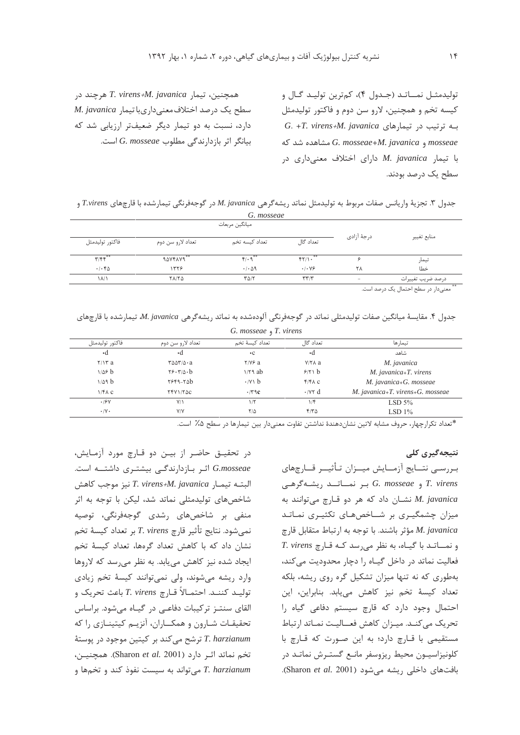توليدمثـل نمـــاتـد (جـدول ۴)، كمترين توليـد گـال و کیسه تخم و همچنین، لارو سن دوم و فاکتور تولیدمثل G. +T. virens+M. javanica به ترتیب در تیمارهای mosseae و G. mosseae+M. javanica مشاهده شد که یا تیمار *M. javanica دا*رای اختلاف معنے داری در سطح یک درصد بودند.

جدول ۳. تجزيهٔ واريانس صفات مربوط به توليدمثل نماتد ريشه گرهي M. javanica در گوجهفرنگي تيمارشده با قارچهاي T.virens و

|                         |                      | G. mosseae                  |                                   |             |                   |
|-------------------------|----------------------|-----------------------------|-----------------------------------|-------------|-------------------|
|                         |                      | ميانگين مربعات              |                                   |             |                   |
| فاكتور توليدمثل         | تعداد لارو سن دوم    | تعداد كيسه تخم              | تعداد گال                         | درجهٔ آزادی | منابع تغيير       |
| $\mathbf{r}/\mathbf{r}$ | **<br><b>ADVFAVA</b> | $f(\cdot)$                  | FT/1.                             | c           | تيمار             |
| .1.80                   | 1779                 | $\cdot$ / $\cdot$ $\circ$ 9 | .1.99                             | ٢٨          | خطا               |
| ۱۸/۱                    | <b>TAITS</b>         | $T\Delta/T$                 | $\mathbf{r}\mathbf{r}/\mathbf{r}$ | $\sim$      | درصد ضريب تغييرات |

أ" معنىدار در سطح احتمال یک درصد است.

|  |  |  |  | جدول ۴. مقایسهٔ میانگین صفات تولیدمثلی نماتد در گوجهفرنگی الودهشده به نماتد ریشهگرهی M. javanica، تیمارشده با قارچهای |  |  |
|--|--|--|--|-----------------------------------------------------------------------------------------------------------------------|--|--|
|  |  |  |  |                                                                                                                       |  |  |

G. mosseae , T. virens تعداد لارو سن دوم فاكتور توليدمثل تعداد كيسة تخم نعداد گال نيمارها  $\cdot$ d  $\mathsf{A}$  $\cdot$ d شاهد  $Y/Y$ a  $\text{rav}(s \cdot a)$  $Y/Y$ ۶ a  $Y/Y \wedge a$ M. javanica  $1/\Delta$ ۶ b  $Y5.770.6$  $1/79$  ab  $9/71 b$ M. javanica+T. virens  $1/\Delta$ 9 b  $Y559-Y0$  $\cdot$  /v \ b  $f/f \wedge c$ M. javanica+G. mosseae  $1/FA$  C  $YYY1/Y\Delta C$  $.79c$  $\cdot$  /  $\vee$  d M. javanica+T. virens+G. mosseae  $.191$  $V/1$  $\sqrt{r}$  $\sqrt{6}$ LSD  $5%$  $\cdot/\gamma$ .  $V/V$  $Y/\Delta$  $f/\tau \Delta$ LSD  $1\%$ 

\*تعداد تكرارچهار، حروف مشابه لاتين نشاندهندهٔ نداشتن تفاوت معنىدار بين تيمارها در سطح ۵٪ است.

## نتیجەگیری کلی

بـررسـي نتــايج آزمــايش ميــزان تـأثيــر قــارچهاي  $G.$  *mosseae* و G. *mosseae* بر نمساتــد ریشــه گرهــی نشان داد که هر دو قارچ میتوانند به M. javanica میزان چشمگیـری بر شــاخصهـای تکثیـری نمـاتـد مؤثر باشند. با توجه به ارتباط متقابل قارچ M. javanica  $T. \text{ virens } z \leq 1$ و نمـــاتــد با گيــاه، به نظر می رسد كــه قــارچ فعالیت نماتد در داخل گیاه را دچار محدودیت می کند، بهطوری که نه تنها میزان تشکیل گره روی ریشه، بلکه تعداد كيسة تخم نيز كاهش مى يابد. بنابراين، اين احتمال وجود دارد که قارچ سیستم دفاعی گیاه را تحريك مي كنـد. ميـزان كاهش فعــاليـت نمـاتد ارتباط مستقیمی با قـارچ دارد؛ به این صـورت که قـارچ با كلونيزاسيــون محيط ريزوسفر مانــع گستــرش نماتــد در بافتهای داخلی ریشه میشود (Sharon et al. 2001).

در تحقیـق حاضـر از بیـن دو قـارچ مورد آزمـایش، G.mosseae اثر بازدارندگی بیشتری داشته است. البته تيمـار T. virens+M. javanica نيز موجب كاهش شاخصهای تولیدمثلی نماتد شد، لیکن با توجه به اثر منفی بر شاخصهای رشدی گوجهفرنگی، توصیه نمي شود. نتايج تأثير قارچ T. virens بر تعداد كيسهٔ تخم نشان داد که با کاهش تعداد گرهها، تعداد کیسهٔ تخم ایجاد شده نیز کاهش می یابد. به نظر می رسد که لاروها وارد ریشه می شوند، ولی نمی توانند کیسهٔ تخم زیادی توليـد كننـد. احتمـالاً قـارچ T. virens باعث تحريک و القای سنتـز ترکیبات دفاعـی در گیـاه می شود. براساس تحقیقـات شـارون و همکــاران، آنزیـم کیتینـازی را که ترشح می کند بر کیتین موجود در یوستهٔ T. harzianum تخم نماتد اثر دارد (Sharon et al. 2001). همچنین، T. harzianum میتواند به سیست نفوذ کند و تخمها و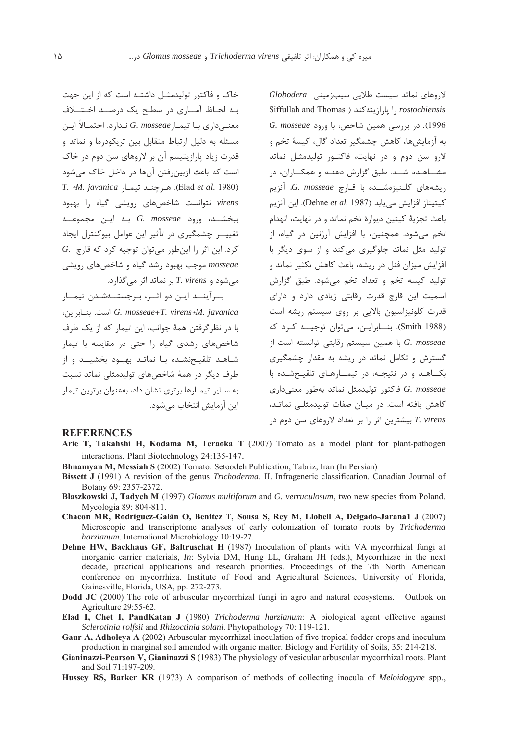خاک و فاکتور تولیدمثـل داشتـه است که از این جهت بـه لحـاظ آمــارى در سطـح يک درصــد اخـتـــلاف معنـــ داري بــا تيمــار G. mosseae نــدارد. احتمــالاً ايــن مسئله به دلیل ارتباط متقابل بین تریکودرما و نماتد و قدرت زیاد پارازیتیسم آن بر لاروهای سن دوم در خاک است که باعث ازبین رفتن آنها در داخل خاک می شود  $T. + M.$  javanica (Elad et al. 1980). هي حنـد تيمـا virens نتوانست شاخصهای رویشی گیاه را بهبود ببخشــد، ورود G. mosseae بـه ايـن مجموعــه تغییـــر چشمگیری در تأثیر این عوامل بیوکنترل ایجاد  $G$ . کرد. این اثر را این طور می توان توجیه کرد که قارچ mosseae موجب بهبود رشد گیاه و شاخصهای رویشی  $\lambda$ می شود و T. virens بر نماتد اثر می گذارد.

بـرآينــد ايـن دو اثــر، بـرجستــهشـدن تيمــار G. mosseae+T. virens+M. javanica است. بنيايواين، با در نظر گرفتن همهٔ جوانب، این تیمار که از یک طرف شاخصهای رشدی گیاه را حتی در مقایسه با تیمار شـاهـد تلقيـحنشـده بـا نماتـد بهبـود بخشيــد و از طرف دیگر در همهٔ شاخصهای تولیدمثلی نماتد نسبت به سـایر تیمـارها برتری نشان داد، بهعنوان برترین تیمار این آزمایش انتخاب می شود.

 $Globodera$  (دوهای نماتد سیست طلایی سیبزمینی) Siffullah and Thomas ) يارازيته كند ( Siffullah and Thomas 1996). در بررسی همین شاخص، با ورود G. mosseae به آزمایش ها، کاهش چشمگیر تعداد گال، کیسهٔ تخم و لارو سن دوم و در نهایت، فاکتـور تولیدمثـل نماتد مشــاهـده شــد. طبق گزارش دهنـه و همكــاران، در ریشەھای کلـنیزەشــدە با قـاچ G. mosseae، آنزیم كيتيناز افزايش مي يابد (Dehne et al. 1987). اين آنزيم باعث تجزيهٔ کيتين ديوارهٔ تخم نماتد و در نهايت، انهدام تخم میشود. همچنین، با افزایش آرژنین در گیاه، از تولید مثل نماتد جلوگیری میکند و از سوی دیگر با افزایش میزان فنل در ریشه، باعث کاهش تکثیر نماتد و تولید کیسه تخم و تعداد تخم میشود. طبق گزارش اسمیت این قارچ قدرت رقابتی زیادی دارد و دارای قدرت کلونیزاسیون بالایی بر روی سیستم ریشه است (Smith 1988). بنـابرايـن، مى توان توجيــه كرد كه با همین سیستم رقابتی توانسته است از G. mosseae گسترش و تکامل نماتد در ریشه به مقدار چشمگیری بکاهد و در نتیجه، در تیمارهای تلقیحشده با فاكتور توليدمثل نماتد بهطور معنىدارى G. mosseae کاهش یافته است. در میـان صفات تولیدمثلـی نماتـد، T. virens بيشترين اثر را بر تعداد لاروهاي سن دوم در

### **REFERENCES**

- Arie T, Takahshi H, Kodama M, Teraoka T (2007) Tomato as a model plant for plant-pathogen interactions. Plant Biotechnology 24:135-147.
- Bhnamyan M, Messiah S (2002) Tomato. Setoodeh Publication, Tabriz, Iran (In Persian)
- Bissett J (1991) A revision of the genus *Trichoderma*. II. Infrageneric classification. Canadian Journal of Botany 69: 2357-2372.
- Blaszkowski J, Tadych M (1997) Glomus multiforum and G. verruculosum, two new species from Poland. Mycologia 89: 804-811.
- Chacon MR, Rodríguez-Galán O, Benítez T, Sousa S, Rey M, Llobell A, Delgado-Jarana1 J (2007) Microscopic and transcriptome analyses of early colonization of tomato roots by Trichoderma harzianum. International Microbiology 10:19-27.
- Dehne HW, Backhaus GF, Baltruschat H (1987) Inoculation of plants with VA mycorrhizal fungi at inorganic carrier materials, In: Sylvia DM, Hung LL, Graham JH (eds.), Mycorrhizae in the next decade, practical applications and research priorities. Proceedings of the 7th North American conference on mycorrhiza. Institute of Food and Agricultural Sciences, University of Florida, Gainesville, Florida, USA, pp. 272-273.
- **Dodd JC** (2000) The role of arbuscular mycorrhizal fungi in agro and natural ecosystems. Outlook on Agriculture 29:55-62.
- Elad I. Chet I. PandKatan J (1980) Trichoderma harzianum: A biological agent effective against Sclerotinia rolfsii and Rhizoctinia solani. Phytopathology 70: 119-121.
- Gaur A, Adholeva A (2002) Arbuscular mycorrhizal inoculation of five tropical fodder crops and inoculum production in marginal soil amended with organic matter. Biology and Fertility of Soils, 35: 214-218.
- Gianinazzi-Pearson V, Gianinazzi S (1983) The physiology of vesicular arbuscular mycorrhizal roots. Plant and Soil 71:197-209.
- Hussey RS, Barker KR (1973) A comparison of methods of collecting inocula of *Meloidogyne* spp.,